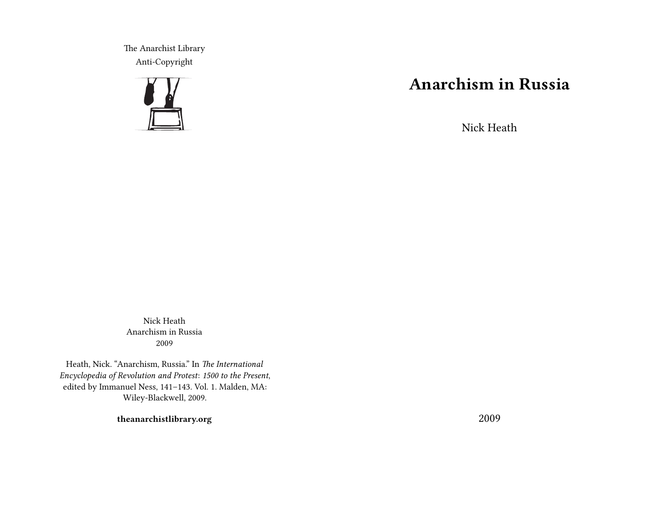The Anarchist Library Anti-Copyright



## **Anarchism in Russia**

Nick Heath

Nick Heath Anarchism in Russia 2009

Heath, Nick. "Anarchism, Russia." In *The International Encyclopedia of Revolution and Protest*: *1500 to the Present*, edited by Immanuel Ness, 141–143. Vol. 1. Malden, MA: Wiley-Blackwell, 2009.

**theanarchistlibrary.org**

2009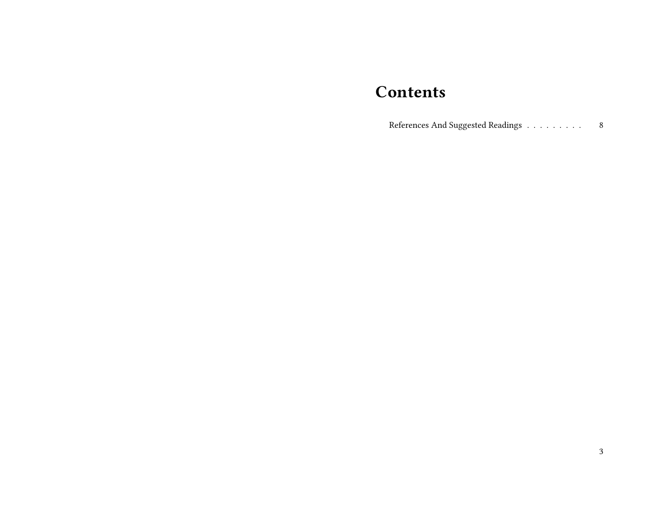## **Contents**

References And Suggested Readings  $\dots\dots\dots\dots$ 8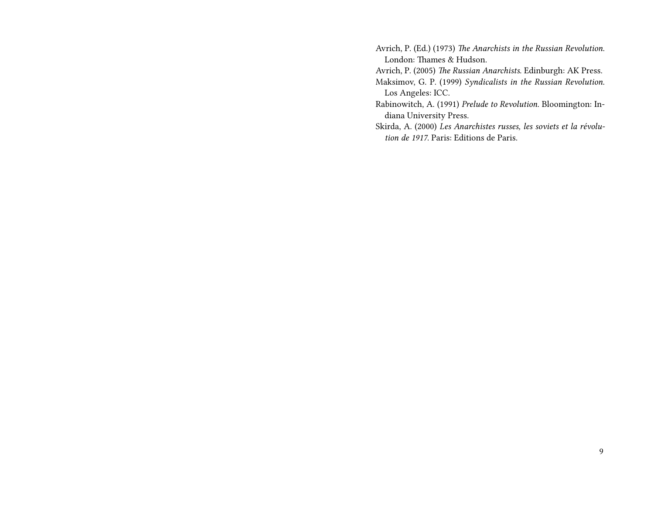Avrich, P. (Ed.) (1973) *The Anarchists in the Russian Revolution*. London: Thames & Hudson.

Avrich, P. (2005) *The Russian Anarchists*. Edinburgh: AK Press. Maksimov, G. P. (1999) *Syndicalists in the Russian Revolution*. Los Angeles: ICC.

Rabinowitch, A. (1991) *Prelude to Revolution*. Bloomington: Indiana University Press.

Skirda, A. (2000) *Les Anarchistes russes, les soviets et la révolution de 1917*. Paris: Editions de Paris.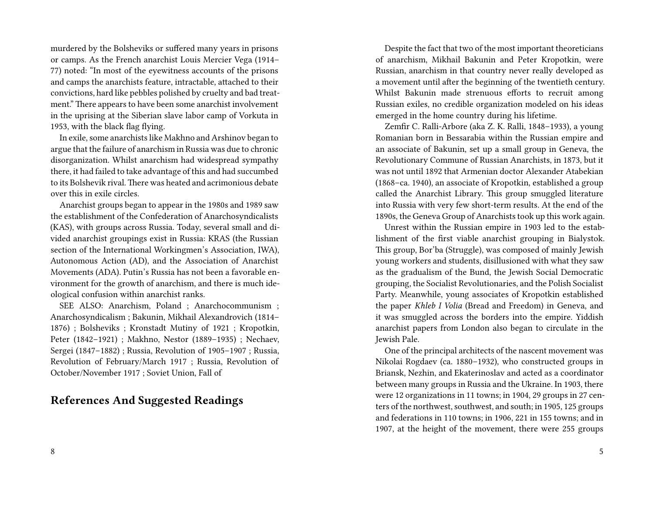murdered by the Bolsheviks or suffered many years in prisons or camps. As the French anarchist Louis Mercier Vega (1914– 77) noted: "In most of the eyewitness accounts of the prisons and camps the anarchists feature, intractable, attached to their convictions, hard like pebbles polished by cruelty and bad treatment." There appears to have been some anarchist involvement in the uprising at the Siberian slave labor camp of Vorkuta in 1953, with the black flag flying.

In exile, some anarchists like Makhno and Arshinov began to argue that the failure of anarchism in Russia was due to chronic disorganization. Whilst anarchism had widespread sympathy there, it had failed to take advantage of this and had succumbed to its Bolshevik rival.There was heated and acrimonious debate over this in exile circles.

Anarchist groups began to appear in the 1980s and 1989 saw the establishment of the Confederation of Anarchosyndicalists (KAS), with groups across Russia. Today, several small and divided anarchist groupings exist in Russia: KRAS (the Russian section of the International Workingmen's Association, IWA), Autonomous Action (AD), and the Association of Anarchist Movements (ADA). Putin's Russia has not been a favorable environment for the growth of anarchism, and there is much ideological confusion within anarchist ranks.

SEE ALSO: Anarchism, Poland ; Anarchocommunism ; Anarchosyndicalism ; Bakunin, Mikhail Alexandrovich (1814– 1876) ; Bolsheviks ; Kronstadt Mutiny of 1921 ; Kropotkin, Peter (1842–1921) ; Makhno, Nestor (1889–1935) ; Nechaev, Sergei (1847–1882) ; Russia, Revolution of 1905–1907 ; Russia, Revolution of February/March 1917 ; Russia, Revolution of October/November 1917 ; Soviet Union, Fall of

## **References And Suggested Readings**

Despite the fact that two of the most important theoreticians of anarchism, Mikhail Bakunin and Peter Kropotkin, were Russian, anarchism in that country never really developed as a movement until after the beginning of the twentieth century. Whilst Bakunin made strenuous efforts to recruit among Russian exiles, no credible organization modeled on his ideas emerged in the home country during his lifetime.

Zemfir C. Ralli-Arbore (aka Z. K. Ralli, 1848–1933), a young Romanian born in Bessarabia within the Russian empire and an associate of Bakunin, set up a small group in Geneva, the Revolutionary Commune of Russian Anarchists, in 1873, but it was not until 1892 that Armenian doctor Alexander Atabekian (1868–ca. 1940), an associate of Kropotkin, established a group called the Anarchist Library. This group smuggled literature into Russia with very few short-term results. At the end of the 1890s, the Geneva Group of Anarchists took up this work again.

Unrest within the Russian empire in 1903 led to the establishment of the first viable anarchist grouping in Bialystok. This group, Bor'ba (Struggle), was composed of mainly Jewish young workers and students, disillusioned with what they saw as the gradualism of the Bund, the Jewish Social Democratic grouping, the Socialist Revolutionaries, and the Polish Socialist Party. Meanwhile, young associates of Kropotkin established the paper *Khleb I Volia* (Bread and Freedom) in Geneva, and it was smuggled across the borders into the empire. Yiddish anarchist papers from London also began to circulate in the Jewish Pale.

One of the principal architects of the nascent movement was Nikolai Rogdaev (ca. 1880–1932), who constructed groups in Briansk, Nezhin, and Ekaterinoslav and acted as a coordinator between many groups in Russia and the Ukraine. In 1903, there were 12 organizations in 11 towns; in 1904, 29 groups in 27 centers of the northwest, southwest, and south; in 1905, 125 groups and federations in 110 towns; in 1906, 221 in 155 towns; and in 1907, at the height of the movement, there were 255 groups